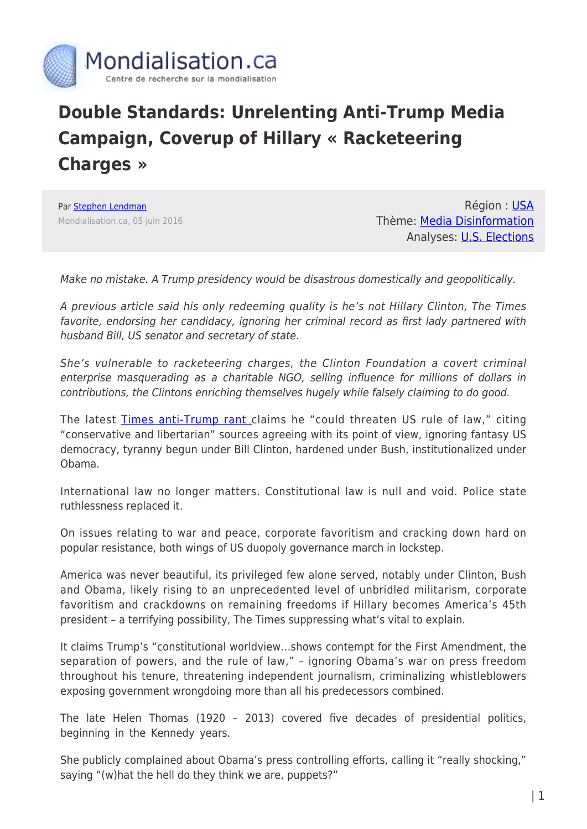

## **Double Standards: Unrelenting Anti-Trump Media Campaign, Coverup of Hillary « Racketeering Charges »**

Par [Stephen Lendman](https://www.mondialisation.ca/author/stephen-lendman) Mondialisation.ca, 05 juin 2016

Région : [USA](https://www.mondialisation.ca/region/usa) Thème: [Media Disinformation](https://www.mondialisation.ca/theme/media-disinformation) Analyses: [U.S. Elections](https://www.mondialisation.ca/indepthreport/u-s-elections)

Make no mistake. A Trump presidency would be disastrous domestically and geopolitically.

A previous article said his only redeeming quality is he's not Hillary Clinton, The Times favorite, endorsing her candidacy, ignoring her criminal record as first lady partnered with husband Bill, US senator and secretary of state.

She's vulnerable to racketeering charges, the Clinton Foundation a covert criminal enterprise masquerading as a charitable NGO, selling influence for millions of dollars in contributions, the Clintons enriching themselves hugely while falsely claiming to do good.

The latest **Times anti-Trump rant** claims he "could threaten US rule of law," citing "conservative and libertarian" sources agreeing with its point of view, ignoring fantasy US democracy, tyranny begun under Bill Clinton, hardened under Bush, institutionalized under Obama.

International law no longer matters. Constitutional law is null and void. Police state ruthlessness replaced it.

On issues relating to war and peace, corporate favoritism and cracking down hard on popular resistance, both wings of US duopoly governance march in lockstep.

America was never beautiful, its privileged few alone served, notably under Clinton, Bush and Obama, likely rising to an unprecedented level of unbridled militarism, corporate favoritism and crackdowns on remaining freedoms if Hillary becomes America's 45th president – a terrifying possibility, The Times suppressing what's vital to explain.

It claims Trump's "constitutional worldview…shows contempt for the First Amendment, the separation of powers, and the rule of law," – ignoring Obama's war on press freedom throughout his tenure, threatening independent journalism, criminalizing whistleblowers exposing government wrongdoing more than all his predecessors combined.

The late Helen Thomas (1920 – 2013) covered five decades of presidential politics, beginning in the Kennedy years.

She publicly complained about Obama's press controlling efforts, calling it "really shocking," saying "(w)hat the hell do they think we are, puppets?"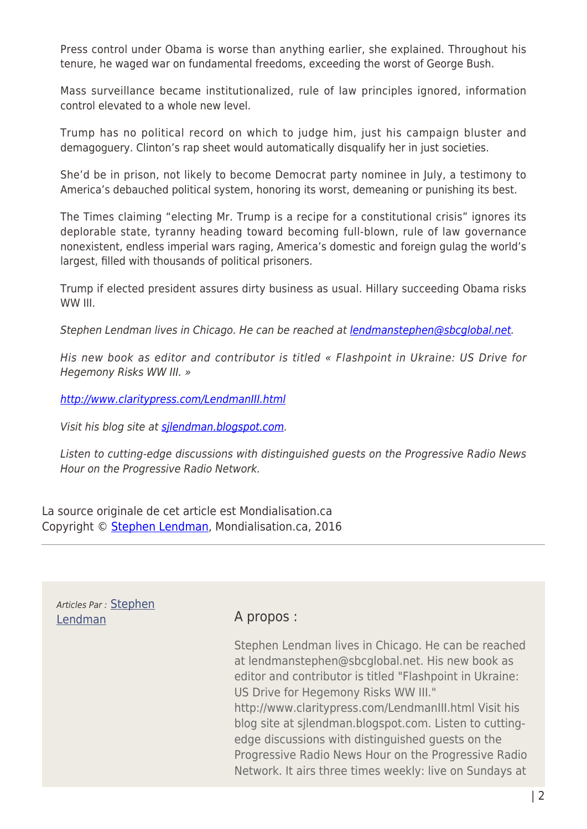Press control under Obama is worse than anything earlier, she explained. Throughout his tenure, he waged war on fundamental freedoms, exceeding the worst of George Bush.

Mass surveillance became institutionalized, rule of law principles ignored, information control elevated to a whole new level.

Trump has no political record on which to judge him, just his campaign bluster and demagoguery. Clinton's rap sheet would automatically disqualify her in just societies.

She'd be in prison, not likely to become Democrat party nominee in July, a testimony to America's debauched political system, honoring its worst, demeaning or punishing its best.

The Times claiming "electing Mr. Trump is a recipe for a constitutional crisis" ignores its deplorable state, tyranny heading toward becoming full-blown, rule of law governance nonexistent, endless imperial wars raging, America's domestic and foreign gulag the world's largest, filled with thousands of political prisoners.

Trump if elected president assures dirty business as usual. Hillary succeeding Obama risks WW III.

Stephen Lendman lives in Chicago. He can be reached at [lendmanstephen@sbcglobal.net](mailto:lendmanstephen@sbcglobal.net).

His new book as editor and contributor is titled « Flashpoint in Ukraine: US Drive for Hegemony Risks WW III. »

<http://www.claritypress.com/LendmanIII.html>

Visit his blog site at [sjlendman.blogspot.com](http://sjlendman.blogspot.com/).

Listen to cutting-edge discussions with distinguished guests on the Progressive Radio News Hour on the Progressive Radio Network.

La source originale de cet article est Mondialisation.ca Copyright © [Stephen Lendman,](https://www.mondialisation.ca/author/stephen-lendman) Mondialisation.ca, 2016

Articles Par : [Stephen](https://www.mondialisation.ca/author/stephen-lendman) [Lendman](https://www.mondialisation.ca/author/stephen-lendman) A propos :

Stephen Lendman lives in Chicago. He can be reached at lendmanstephen@sbcglobal.net. His new book as editor and contributor is titled "Flashpoint in Ukraine: US Drive for Hegemony Risks WW III." http://www.claritypress.com/LendmanIII.html Visit his blog site at sjlendman.blogspot.com. Listen to cuttingedge discussions with distinguished guests on the Progressive Radio News Hour on the Progressive Radio Network. It airs three times weekly: live on Sundays at